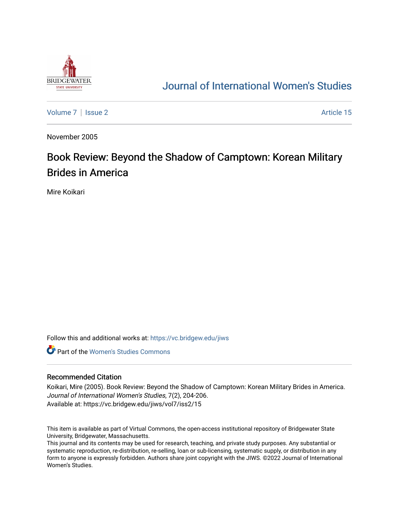

## [Journal of International Women's Studies](https://vc.bridgew.edu/jiws)

[Volume 7](https://vc.bridgew.edu/jiws/vol7) | [Issue 2](https://vc.bridgew.edu/jiws/vol7/iss2) Article 15

November 2005

# Book Review: Beyond the Shadow of Camptown: Korean Military Brides in America

Mire Koikari

Follow this and additional works at: [https://vc.bridgew.edu/jiws](https://vc.bridgew.edu/jiws?utm_source=vc.bridgew.edu%2Fjiws%2Fvol7%2Fiss2%2F15&utm_medium=PDF&utm_campaign=PDFCoverPages)

**C** Part of the Women's Studies Commons

### Recommended Citation

Koikari, Mire (2005). Book Review: Beyond the Shadow of Camptown: Korean Military Brides in America. Journal of International Women's Studies, 7(2), 204-206. Available at: https://vc.bridgew.edu/jiws/vol7/iss2/15

This item is available as part of Virtual Commons, the open-access institutional repository of Bridgewater State University, Bridgewater, Massachusetts.

This journal and its contents may be used for research, teaching, and private study purposes. Any substantial or systematic reproduction, re-distribution, re-selling, loan or sub-licensing, systematic supply, or distribution in any form to anyone is expressly forbidden. Authors share joint copyright with the JIWS. ©2022 Journal of International Women's Studies.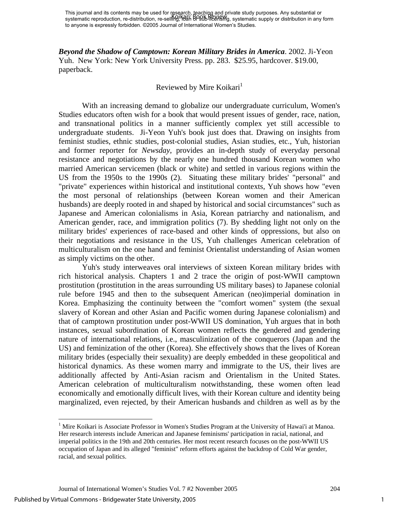*Beyond the Shadow of Camptown: Korean Military Brides in America*. 2002. Ji-Yeon Yuh. New York: New York University Press. pp. 283. \$25.95, hardcover. \$19.00, paperback.

### Reviewed by Mire Koikari<sup>1</sup>

 With an increasing demand to globalize our undergraduate curriculum, Women's Studies educators often wish for a book that would present issues of gender, race, nation, and transnational politics in a manner sufficiently complex yet still accessible to undergraduate students. Ji-Yeon Yuh's book just does that. Drawing on insights from feminist studies, ethnic studies, post-colonial studies, Asian studies, etc., Yuh, historian and former reporter for *Newsday*, provides an in-depth study of everyday personal resistance and negotiations by the nearly one hundred thousand Korean women who married American servicemen (black or white) and settled in various regions within the US from the 1950s to the 1990s (2). Situating these military brides' "personal" and "private" experiences within historical and institutional contexts, Yuh shows how "even the most personal of relationships (between Korean women and their American husbands) are deeply rooted in and shaped by historical and social circumstances" such as Japanese and American colonialisms in Asia, Korean patriarchy and nationalism, and American gender, race, and immigration politics (7). By shedding light not only on the military brides' experiences of race-based and other kinds of oppressions, but also on their negotiations and resistance in the US, Yuh challenges American celebration of multiculturalism on the one hand and feminist Orientalist understanding of Asian women as simply victims on the other.

 Yuh's study interweaves oral interviews of sixteen Korean military brides with rich historical analysis. Chapters 1 and 2 trace the origin of post-WWII camptown prostitution (prostitution in the areas surrounding US military bases) to Japanese colonial rule before 1945 and then to the subsequent American (neo)imperial domination in Korea. Emphasizing the continuity between the "comfort women" system (the sexual slavery of Korean and other Asian and Pacific women during Japanese colonialism) and that of camptown prostitution under post-WWII US domination, Yuh argues that in both instances, sexual subordination of Korean women reflects the gendered and gendering nature of international relations, i.e., masculinization of the conquerors (Japan and the US) and feminization of the other (Korea). She effectively shows that the lives of Korean military brides (especially their sexuality) are deeply embedded in these geopolitical and historical dynamics. As these women marry and immigrate to the US, their lives are additionally affected by Anti-Asian racism and Orientalism in the United States. American celebration of multiculturalism notwithstanding, these women often lead economically and emotionally difficult lives, with their Korean culture and identity being marginalized, even rejected, by their American husbands and children as well as by the

1

<sup>&</sup>lt;sup>1</sup> Mire Koikari is Associate Professor in Women's Studies Program at the University of Hawai'i at Manoa. Her research interests include American and Japanese feminisms' participation in racial, national, and imperial politics in the 19th and 20th centuries. Her most recent research focuses on the post-WWII US occupation of Japan and its alleged "feminist" reform efforts against the backdrop of Cold War gender, racial, and sexual politics.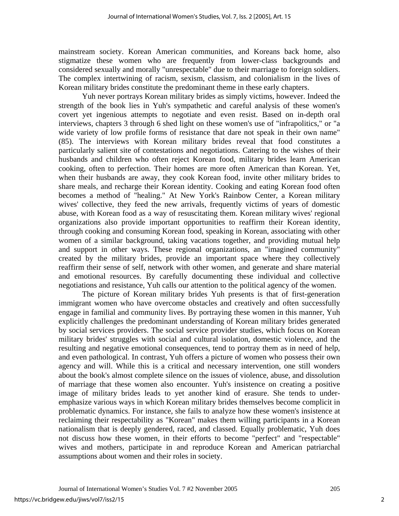mainstream society. Korean American communities, and Koreans back home, also stigmatize these women who are frequently from lower-class backgrounds and considered sexually and morally "unrespectable" due to their marriage to foreign soldiers. The complex intertwining of racism, sexism, classism, and colonialism in the lives of Korean military brides constitute the predominant theme in these early chapters.

 Yuh never portrays Korean military brides as simply victims, however. Indeed the strength of the book lies in Yuh's sympathetic and careful analysis of these women's covert yet ingenious attempts to negotiate and even resist. Based on in-depth oral interviews, chapters 3 through 6 shed light on these women's use of "infrapolitics," or "a wide variety of low profile forms of resistance that dare not speak in their own name" (85). The interviews with Korean military brides reveal that food constitutes a particularly salient site of contestations and negotiations. Catering to the wishes of their husbands and children who often reject Korean food, military brides learn American cooking, often to perfection. Their homes are more often American than Korean. Yet, when their husbands are away, they cook Korean food, invite other military brides to share meals, and recharge their Korean identity. Cooking and eating Korean food often becomes a method of "healing." At New York's Rainbow Center, a Korean military wives' collective, they feed the new arrivals, frequently victims of years of domestic abuse, with Korean food as a way of resuscitating them. Korean military wives' regional organizations also provide important opportunities to reaffirm their Korean identity, through cooking and consuming Korean food, speaking in Korean, associating with other women of a similar background, taking vacations together, and providing mutual help and support in other ways. These regional organizations, an "imagined community" created by the military brides, provide an important space where they collectively reaffirm their sense of self, network with other women, and generate and share material and emotional resources. By carefully documenting these individual and collective negotiations and resistance, Yuh calls our attention to the political agency of the women.

 The picture of Korean military brides Yuh presents is that of first-generation immigrant women who have overcome obstacles and creatively and often successfully engage in familial and community lives. By portraying these women in this manner, Yuh explicitly challenges the predominant understanding of Korean military brides generated by social services providers. The social service provider studies, which focus on Korean military brides' struggles with social and cultural isolation, domestic violence, and the resulting and negative emotional consequences, tend to portray them as in need of help, and even pathological. In contrast, Yuh offers a picture of women who possess their own agency and will. While this is a critical and necessary intervention, one still wonders about the book's almost complete silence on the issues of violence, abuse, and dissolution of marriage that these women also encounter. Yuh's insistence on creating a positive image of military brides leads to yet another kind of erasure. She tends to underemphasize various ways in which Korean military brides themselves become complicit in problematic dynamics. For instance, she fails to analyze how these women's insistence at reclaiming their respectability as "Korean" makes them willing participants in a Korean nationalism that is deeply gendered, raced, and classed. Equally problematic, Yuh does not discuss how these women, in their efforts to become "perfect" and "respectable" wives and mothers, participate in and reproduce Korean and American patriarchal assumptions about women and their roles in society.